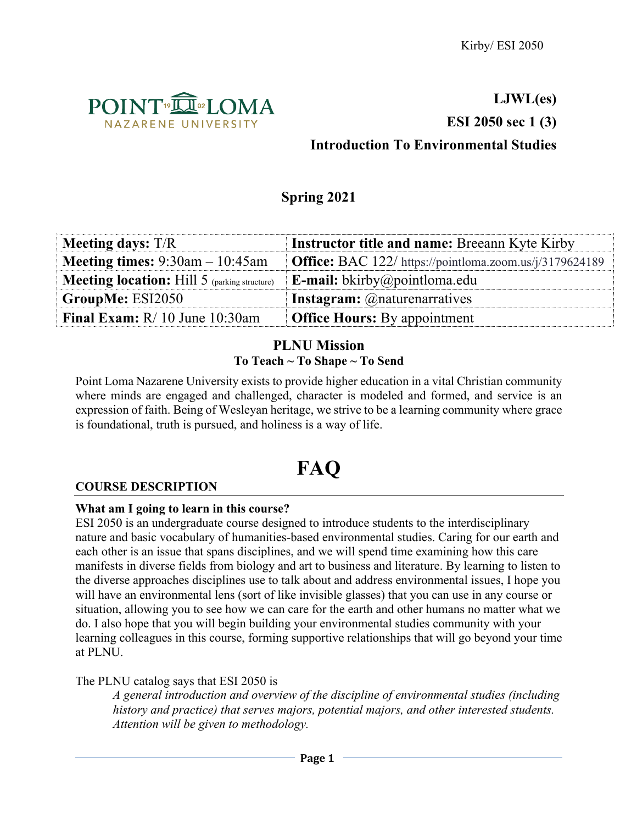

# **LJWL(es) ESI 2050 sec 1 (3) Introduction To Environmental Studies**

# **Spring 2021**

| <b>Meeting days:</b> $T/R$                   | <b>Instructor title and name: Breeann Kyte Kirby</b>                |
|----------------------------------------------|---------------------------------------------------------------------|
| <b>Meeting times:</b> $9:30$ am $-10:45$ am  | <b>Office:</b> BAC $122/$ https://pointloma.zoom.us/ $i/3179624189$ |
| Meeting location: Hill 5 (parking structure) | <b>E-mail:</b> bkirby@pointloma.edu                                 |
| GroupMe: ESI2050                             | <b>Instagram:</b> @naturenarratives                                 |
| Final Exam: $R/10$ June 10:30am              | <b>Office Hours:</b> By appointment                                 |

# **PLNU Mission To Teach ~ To Shape ~ To Send**

Point Loma Nazarene University exists to provide higher education in a vital Christian community where minds are engaged and challenged, character is modeled and formed, and service is an expression of faith. Being of Wesleyan heritage, we strive to be a learning community where grace is foundational, truth is pursued, and holiness is a way of life.

# **FAQ**

# **COURSE DESCRIPTION**

# **What am I going to learn in this course?**

ESI 2050 is an undergraduate course designed to introduce students to the interdisciplinary nature and basic vocabulary of humanities-based environmental studies. Caring for our earth and each other is an issue that spans disciplines, and we will spend time examining how this care manifests in diverse fields from biology and art to business and literature. By learning to listen to the diverse approaches disciplines use to talk about and address environmental issues, I hope you will have an environmental lens (sort of like invisible glasses) that you can use in any course or situation, allowing you to see how we can care for the earth and other humans no matter what we do. I also hope that you will begin building your environmental studies community with your learning colleagues in this course, forming supportive relationships that will go beyond your time at PLNU.

The PLNU catalog says that ESI 2050 is

*A general introduction and overview of the discipline of environmental studies (including history and practice) that serves majors, potential majors, and other interested students. Attention will be given to methodology.*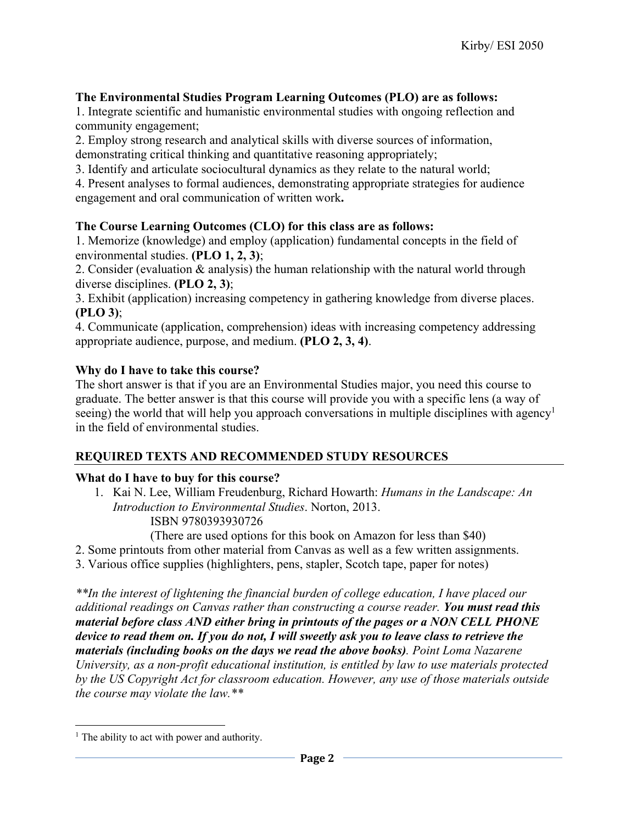# **The Environmental Studies Program Learning Outcomes (PLO) are as follows:**

1. Integrate scientific and humanistic environmental studies with ongoing reflection and community engagement;

2. Employ strong research and analytical skills with diverse sources of information, demonstrating critical thinking and quantitative reasoning appropriately;

3. Identify and articulate sociocultural dynamics as they relate to the natural world;

4. Present analyses to formal audiences, demonstrating appropriate strategies for audience engagement and oral communication of written work**.**

# **The Course Learning Outcomes (CLO) for this class are as follows:**

1. Memorize (knowledge) and employ (application) fundamental concepts in the field of environmental studies. **(PLO 1, 2, 3)**;

2. Consider (evaluation & analysis) the human relationship with the natural world through diverse disciplines. **(PLO 2, 3)**;

3. Exhibit (application) increasing competency in gathering knowledge from diverse places. **(PLO 3)**;

4. Communicate (application, comprehension) ideas with increasing competency addressing appropriate audience, purpose, and medium. **(PLO 2, 3, 4)**.

# **Why do I have to take this course?**

The short answer is that if you are an Environmental Studies major, you need this course to graduate. The better answer is that this course will provide you with a specific lens (a way of seeing) the world that will help you approach conversations in multiple disciplines with agency<sup>1</sup> in the field of environmental studies.

# **REQUIRED TEXTS AND RECOMMENDED STUDY RESOURCES**

# **What do I have to buy for this course?**

1. Kai N. Lee, William Freudenburg, Richard Howarth: *Humans in the Landscape: An Introduction to Environmental Studies*. Norton, 2013. ISBN 9780393930726

(There are used options for this book on Amazon for less than \$40)

- 2. Some printouts from other material from Canvas as well as a few written assignments.
- 3. Various office supplies (highlighters, pens, stapler, Scotch tape, paper for notes)

*\*\*In the interest of lightening the financial burden of college education, I have placed our additional readings on Canvas rather than constructing a course reader. You must read this material before class AND either bring in printouts of the pages or a NON CELL PHONE device to read them on. If you do not, I will sweetly ask you to leave class to retrieve the materials (including books on the days we read the above books). Point Loma Nazarene University, as a non-profit educational institution, is entitled by law to use materials protected by the US Copyright Act for classroom education. However, any use of those materials outside the course may violate the law.\*\**

 $<sup>1</sup>$  The ability to act with power and authority.</sup>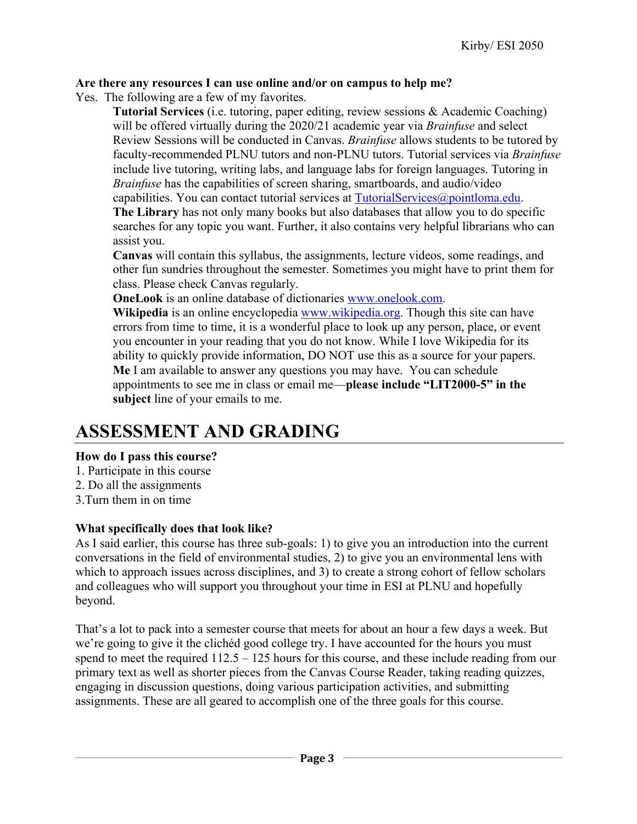# **Are there any resources I can use online and/or on campus to help me?**

Yes. The following are a few of my favorites.

**Tutorial Services** (i.e. tutoring, paper editing, review sessions & Academic Coaching) will be offered virtually during the 2020/21 academic year via *Brainfuse* and select Review Sessions will be conducted in Canvas. *Brainfuse* allows students to be tutored by faculty-recommended PLNU tutors and non-PLNU tutors. Tutorial services via *Brainfuse* include live tutoring, writing labs, and language labs for foreign languages. Tutoring in *Brainfuse* has the capabilities of screen sharing, smartboards, and audio/video capabilities. You can contact tutorial services at TutorialServices@pointloma.edu.

**The Library** has not only many books but also databases that allow you to do specific searches for any topic you want. Further, it also contains very helpful librarians who can

assist you.

**Canvas** will contain this syllabus, the assignments, lecture videos, some readings, and other fun sundries throughout the semester. Sometimes you might have to print them for class. Please check Canvas regularly.

**OneLook** is an online database of dictionaries www.onelook.com.

**Wikipedia** is an online encyclopedia www.wikipedia.org. Though this site can have errors from time to time, it is a wonderful place to look up any person, place, or event you encounter in your reading that you do not know. While I love Wikipedia for its ability to quickly provide information, DO NOT use this as a source for your papers. **Me** I am available to answer any questions you may have. You can schedule appointments to see me in class or email me—**please include "LIT2000-5" in the subject** line of your emails to me.

# **ASSESSMENT AND GRADING**

# **How do I pass this course?**

- 1. Participate in this course
- 2. Do all the assignments
- 3.Turn them in on time

# **What specifically does that look like?**

As I said earlier, this course has three sub-goals: 1) to give you an introduction into the current conversations in the field of environmental studies, 2) to give you an environmental lens with which to approach issues across disciplines, and 3) to create a strong cohort of fellow scholars and colleagues who will support you throughout your time in ESI at PLNU and hopefully beyond.

That's a lot to pack into a semester course that meets for about an hour a few days a week. But we're going to give it the clichéd good college try. I have accounted for the hours you must spend to meet the required 112.5 – 125 hours for this course, and these include reading from our primary text as well as shorter pieces from the Canvas Course Reader, taking reading quizzes, engaging in discussion questions, doing various participation activities, and submitting assignments. These are all geared to accomplish one of the three goals for this course.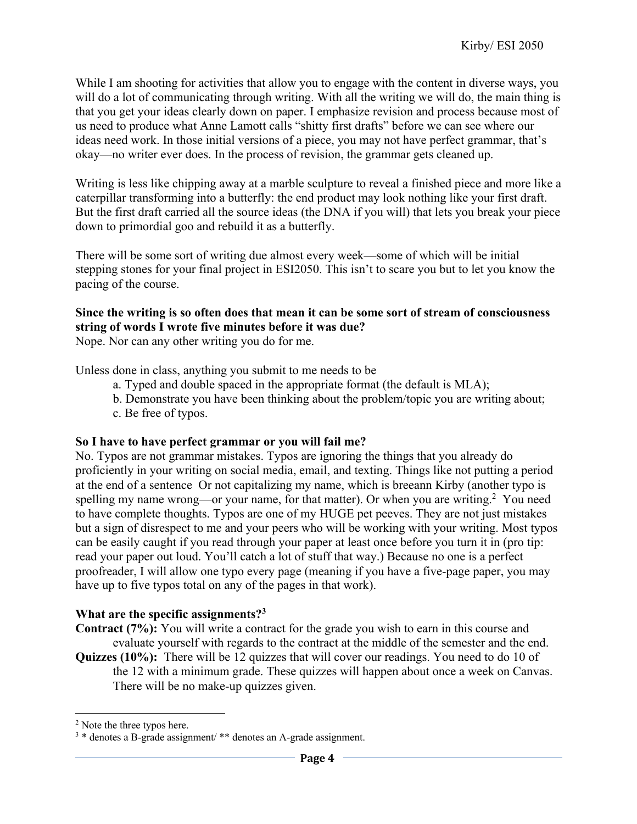While I am shooting for activities that allow you to engage with the content in diverse ways, you will do a lot of communicating through writing. With all the writing we will do, the main thing is that you get your ideas clearly down on paper. I emphasize revision and process because most of us need to produce what Anne Lamott calls "shitty first drafts" before we can see where our ideas need work. In those initial versions of a piece, you may not have perfect grammar, that's okay—no writer ever does. In the process of revision, the grammar gets cleaned up.

Writing is less like chipping away at a marble sculpture to reveal a finished piece and more like a caterpillar transforming into a butterfly: the end product may look nothing like your first draft. But the first draft carried all the source ideas (the DNA if you will) that lets you break your piece down to primordial goo and rebuild it as a butterfly.

There will be some sort of writing due almost every week—some of which will be initial stepping stones for your final project in ESI2050. This isn't to scare you but to let you know the pacing of the course.

# **Since the writing is so often does that mean it can be some sort of stream of consciousness string of words I wrote five minutes before it was due?**

Nope. Nor can any other writing you do for me.

Unless done in class, anything you submit to me needs to be

- a. Typed and double spaced in the appropriate format (the default is MLA);
- b. Demonstrate you have been thinking about the problem/topic you are writing about;
- c. Be free of typos.

### **So I have to have perfect grammar or you will fail me?**

No. Typos are not grammar mistakes. Typos are ignoring the things that you already do proficiently in your writing on social media, email, and texting. Things like not putting a period at the end of a sentence Or not capitalizing my name, which is breeann Kirby (another typo is spelling my name wrong—or your name, for that matter). Or when you are writing.<sup>2</sup> You need to have complete thoughts. Typos are one of my HUGE pet peeves. They are not just mistakes but a sign of disrespect to me and your peers who will be working with your writing. Most typos can be easily caught if you read through your paper at least once before you turn it in (pro tip: read your paper out loud. You'll catch a lot of stuff that way.) Because no one is a perfect proofreader, I will allow one typo every page (meaning if you have a five-page paper, you may have up to five typos total on any of the pages in that work).

### **What are the specific assignments?3**

**Contract (7%):** You will write a contract for the grade you wish to earn in this course and evaluate yourself with regards to the contract at the middle of the semester and the end.

**Quizzes (10%):** There will be 12 quizzes that will cover our readings. You need to do 10 of the 12 with a minimum grade. These quizzes will happen about once a week on Canvas. There will be no make-up quizzes given.

<sup>&</sup>lt;sup>2</sup> Note the three typos here.

<sup>&</sup>lt;sup>3</sup> \* denotes a B-grade assignment/ \*\* denotes an A-grade assignment.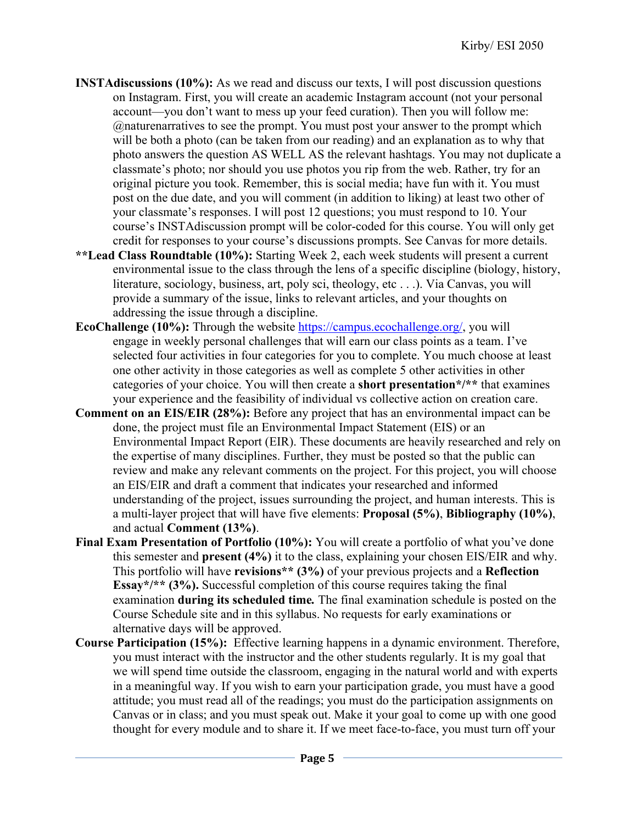- **INSTAdiscussions (10%):** As we read and discuss our texts, I will post discussion questions on Instagram. First, you will create an academic Instagram account (not your personal account—you don't want to mess up your feed curation). Then you will follow me: @naturenarratives to see the prompt. You must post your answer to the prompt which will be both a photo (can be taken from our reading) and an explanation as to why that photo answers the question AS WELL AS the relevant hashtags. You may not duplicate a classmate's photo; nor should you use photos you rip from the web. Rather, try for an original picture you took. Remember, this is social media; have fun with it. You must post on the due date, and you will comment (in addition to liking) at least two other of your classmate's responses. I will post 12 questions; you must respond to 10. Your course's INSTAdiscussion prompt will be color-coded for this course. You will only get credit for responses to your course's discussions prompts. See Canvas for more details.
- **\*\*Lead Class Roundtable (10%):** Starting Week 2, each week students will present a current environmental issue to the class through the lens of a specific discipline (biology, history, literature, sociology, business, art, poly sci, theology, etc . . .). Via Canvas, you will provide a summary of the issue, links to relevant articles, and your thoughts on addressing the issue through a discipline.
- **EcoChallenge** (10%): Through the website https://campus.ecochallenge.org/, you will engage in weekly personal challenges that will earn our class points as a team. I've selected four activities in four categories for you to complete. You much choose at least one other activity in those categories as well as complete 5 other activities in other categories of your choice. You will then create a **short presentation\*/\*\*** that examines your experience and the feasibility of individual vs collective action on creation care.
- **Comment on an EIS/EIR (28%):** Before any project that has an environmental impact can be done, the project must file an Environmental Impact Statement (EIS) or an Environmental Impact Report (EIR). These documents are heavily researched and rely on the expertise of many disciplines. Further, they must be posted so that the public can review and make any relevant comments on the project. For this project, you will choose an EIS/EIR and draft a comment that indicates your researched and informed understanding of the project, issues surrounding the project, and human interests. This is a multi-layer project that will have five elements: **Proposal (5%)**, **Bibliography (10%)**, and actual **Comment (13%)**.
- **Final Exam Presentation of Portfolio (10%):** You will create a portfolio of what you've done this semester and **present (4%)** it to the class, explaining your chosen EIS/EIR and why. This portfolio will have **revisions\*\* (3%)** of your previous projects and a **Reflection Essay\*/\*\* (3%).** Successful completion of this course requires taking the final examination **during its scheduled time***.* The final examination schedule is posted on the Course Schedule site and in this syllabus. No requests for early examinations or alternative days will be approved.
- **Course Participation (15%):** Effective learning happens in a dynamic environment. Therefore, you must interact with the instructor and the other students regularly. It is my goal that we will spend time outside the classroom, engaging in the natural world and with experts in a meaningful way. If you wish to earn your participation grade, you must have a good attitude; you must read all of the readings; you must do the participation assignments on Canvas or in class; and you must speak out. Make it your goal to come up with one good thought for every module and to share it. If we meet face-to-face, you must turn off your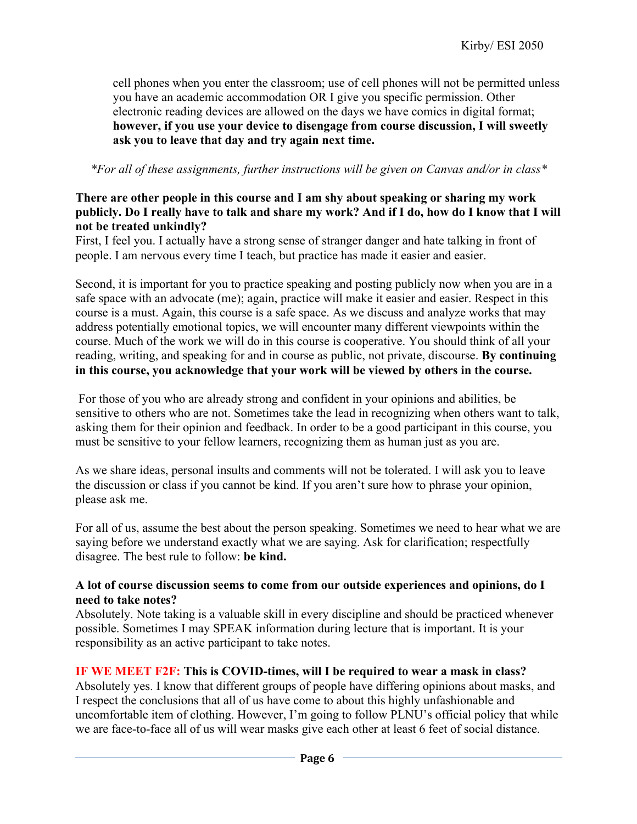cell phones when you enter the classroom; use of cell phones will not be permitted unless you have an academic accommodation OR I give you specific permission. Other electronic reading devices are allowed on the days we have comics in digital format; **however, if you use your device to disengage from course discussion, I will sweetly ask you to leave that day and try again next time.**

*\*For all of these assignments, further instructions will be given on Canvas and/or in class\**

# **There are other people in this course and I am shy about speaking or sharing my work publicly. Do I really have to talk and share my work? And if I do, how do I know that I will not be treated unkindly?**

First, I feel you. I actually have a strong sense of stranger danger and hate talking in front of people. I am nervous every time I teach, but practice has made it easier and easier.

Second, it is important for you to practice speaking and posting publicly now when you are in a safe space with an advocate (me); again, practice will make it easier and easier. Respect in this course is a must. Again, this course is a safe space. As we discuss and analyze works that may address potentially emotional topics, we will encounter many different viewpoints within the course. Much of the work we will do in this course is cooperative. You should think of all your reading, writing, and speaking for and in course as public, not private, discourse. **By continuing in this course, you acknowledge that your work will be viewed by others in the course.**

For those of you who are already strong and confident in your opinions and abilities, be sensitive to others who are not. Sometimes take the lead in recognizing when others want to talk, asking them for their opinion and feedback. In order to be a good participant in this course, you must be sensitive to your fellow learners, recognizing them as human just as you are.

As we share ideas, personal insults and comments will not be tolerated. I will ask you to leave the discussion or class if you cannot be kind. If you aren't sure how to phrase your opinion, please ask me.

For all of us, assume the best about the person speaking. Sometimes we need to hear what we are saying before we understand exactly what we are saying. Ask for clarification; respectfully disagree. The best rule to follow: **be kind.**

# **A lot of course discussion seems to come from our outside experiences and opinions, do I need to take notes?**

Absolutely. Note taking is a valuable skill in every discipline and should be practiced whenever possible. Sometimes I may SPEAK information during lecture that is important. It is your responsibility as an active participant to take notes.

# **IF WE MEET F2F: This is COVID-times, will I be required to wear a mask in class?**

Absolutely yes. I know that different groups of people have differing opinions about masks, and I respect the conclusions that all of us have come to about this highly unfashionable and uncomfortable item of clothing. However, I'm going to follow PLNU's official policy that while we are face-to-face all of us will wear masks give each other at least 6 feet of social distance.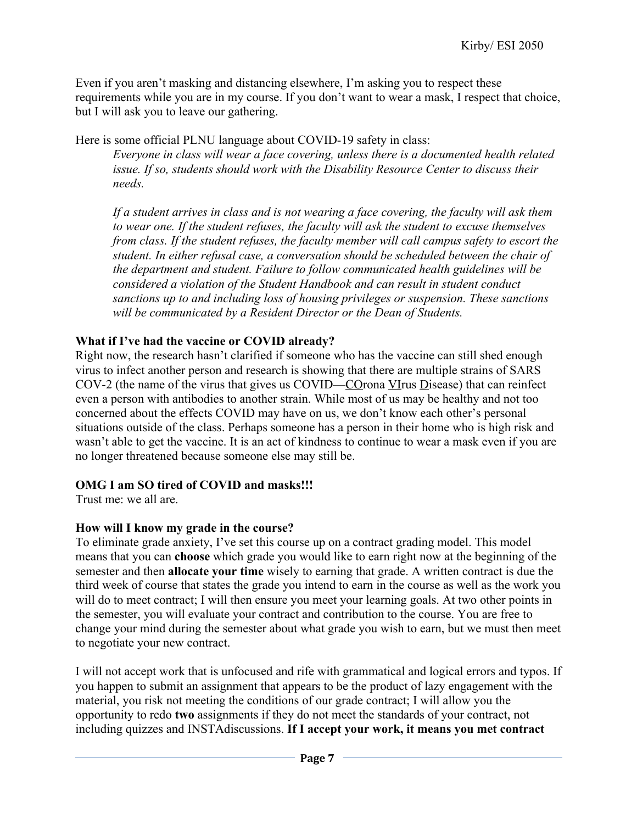Even if you aren't masking and distancing elsewhere, I'm asking you to respect these requirements while you are in my course. If you don't want to wear a mask, I respect that choice, but I will ask you to leave our gathering.

Here is some official PLNU language about COVID-19 safety in class:

*Everyone in class will wear a face covering, unless there is a documented health related issue. If so, students should work with the Disability Resource Center to discuss their needs.* 

*If a student arrives in class and is not wearing a face covering, the faculty will ask them to wear one. If the student refuses, the faculty will ask the student to excuse themselves from class. If the student refuses, the faculty member will call campus safety to escort the student. In either refusal case, a conversation should be scheduled between the chair of the department and student. Failure to follow communicated health guidelines will be considered a violation of the Student Handbook and can result in student conduct sanctions up to and including loss of housing privileges or suspension. These sanctions will be communicated by a Resident Director or the Dean of Students.*

# **What if I've had the vaccine or COVID already?**

Right now, the research hasn't clarified if someone who has the vaccine can still shed enough virus to infect another person and research is showing that there are multiple strains of SARS COV-2 (the name of the virus that gives us COVID—COrona VIrus Disease) that can reinfect even a person with antibodies to another strain. While most of us may be healthy and not too concerned about the effects COVID may have on us, we don't know each other's personal situations outside of the class. Perhaps someone has a person in their home who is high risk and wasn't able to get the vaccine. It is an act of kindness to continue to wear a mask even if you are no longer threatened because someone else may still be.

# **OMG I am SO tired of COVID and masks!!!**

Trust me: we all are.

# **How will I know my grade in the course?**

To eliminate grade anxiety, I've set this course up on a contract grading model. This model means that you can **choose** which grade you would like to earn right now at the beginning of the semester and then **allocate your time** wisely to earning that grade. A written contract is due the third week of course that states the grade you intend to earn in the course as well as the work you will do to meet contract; I will then ensure you meet your learning goals. At two other points in the semester, you will evaluate your contract and contribution to the course. You are free to change your mind during the semester about what grade you wish to earn, but we must then meet to negotiate your new contract.

I will not accept work that is unfocused and rife with grammatical and logical errors and typos. If you happen to submit an assignment that appears to be the product of lazy engagement with the material, you risk not meeting the conditions of our grade contract; I will allow you the opportunity to redo **two** assignments if they do not meet the standards of your contract, not including quizzes and INSTAdiscussions. **If I accept your work, it means you met contract**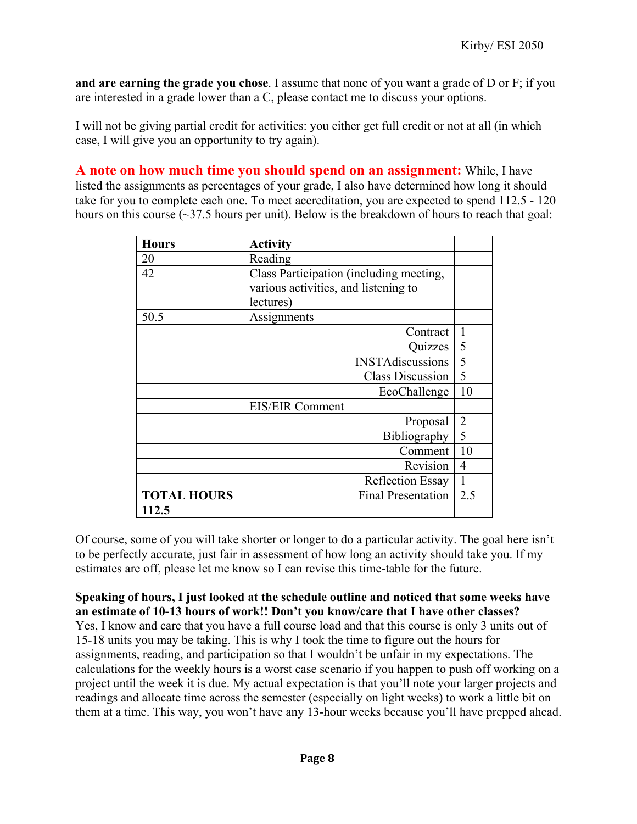**and are earning the grade you chose**. I assume that none of you want a grade of D or F; if you are interested in a grade lower than a C, please contact me to discuss your options.

I will not be giving partial credit for activities: you either get full credit or not at all (in which case, I will give you an opportunity to try again).

**A note on how much time you should spend on an assignment:** While, I have listed the assignments as percentages of your grade, I also have determined how long it should take for you to complete each one. To meet accreditation, you are expected to spend 112.5 - 120 hours on this course  $(\sim]37.5$  hours per unit). Below is the breakdown of hours to reach that goal:

| <b>Hours</b>       | <b>Activity</b>                         |                |
|--------------------|-----------------------------------------|----------------|
| 20                 | Reading                                 |                |
| 42                 | Class Participation (including meeting, |                |
|                    | various activities, and listening to    |                |
|                    | lectures)                               |                |
| 50.5               | Assignments                             |                |
|                    | Contract                                | $\mathbf{1}$   |
|                    | Quizzes                                 | 5              |
|                    | <b>INSTAdiscussions</b>                 | 5              |
|                    | <b>Class Discussion</b>                 | 5              |
|                    | EcoChallenge                            | 10             |
|                    | <b>EIS/EIR Comment</b>                  |                |
|                    | Proposal                                | $\overline{2}$ |
|                    | Bibliography                            | 5              |
|                    | Comment                                 | 10             |
|                    | Revision                                | 4              |
|                    | <b>Reflection Essay</b>                 | 1              |
| <b>TOTAL HOURS</b> | <b>Final Presentation</b>               | 2.5            |
| 112.5              |                                         |                |

Of course, some of you will take shorter or longer to do a particular activity. The goal here isn't to be perfectly accurate, just fair in assessment of how long an activity should take you. If my estimates are off, please let me know so I can revise this time-table for the future.

**Speaking of hours, I just looked at the schedule outline and noticed that some weeks have an estimate of 10-13 hours of work!! Don't you know/care that I have other classes?** Yes, I know and care that you have a full course load and that this course is only 3 units out of 15-18 units you may be taking. This is why I took the time to figure out the hours for assignments, reading, and participation so that I wouldn't be unfair in my expectations. The calculations for the weekly hours is a worst case scenario if you happen to push off working on a project until the week it is due. My actual expectation is that you'll note your larger projects and readings and allocate time across the semester (especially on light weeks) to work a little bit on them at a time. This way, you won't have any 13-hour weeks because you'll have prepped ahead.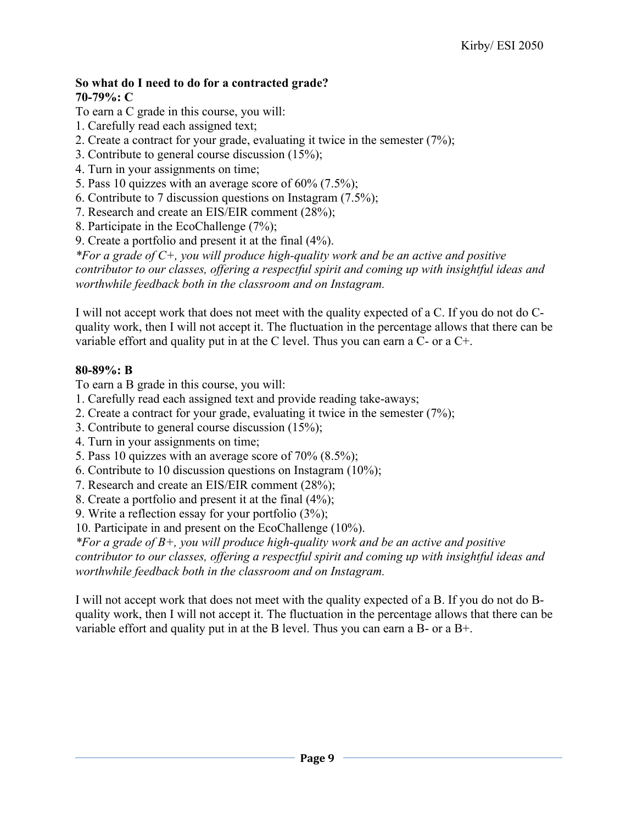#### **So what do I need to do for a contracted grade? 70-79%: C**

To earn a C grade in this course, you will:

- 1. Carefully read each assigned text;
- 2. Create a contract for your grade, evaluating it twice in the semester (7%);
- 3. Contribute to general course discussion (15%);
- 4. Turn in your assignments on time;
- 5. Pass 10 quizzes with an average score of 60% (7.5%);
- 6. Contribute to 7 discussion questions on Instagram (7.5%);
- 7. Research and create an EIS/EIR comment (28%);
- 8. Participate in the EcoChallenge (7%);
- 9. Create a portfolio and present it at the final (4%).

*\*For a grade of C+, you will produce high-quality work and be an active and positive contributor to our classes, offering a respectful spirit and coming up with insightful ideas and worthwhile feedback both in the classroom and on Instagram.*

I will not accept work that does not meet with the quality expected of a C. If you do not do Cquality work, then I will not accept it. The fluctuation in the percentage allows that there can be variable effort and quality put in at the C level. Thus you can earn a C- or a C+.

# **80-89%: B**

To earn a B grade in this course, you will:

- 1. Carefully read each assigned text and provide reading take-aways;
- 2. Create a contract for your grade, evaluating it twice in the semester (7%);
- 3. Contribute to general course discussion (15%);
- 4. Turn in your assignments on time;
- 5. Pass 10 quizzes with an average score of 70% (8.5%);
- 6. Contribute to 10 discussion questions on Instagram (10%);
- 7. Research and create an EIS/EIR comment (28%);
- 8. Create a portfolio and present it at the final (4%);
- 9. Write a reflection essay for your portfolio (3%);
- 10. Participate in and present on the EcoChallenge (10%).

*\*For a grade of B+, you will produce high-quality work and be an active and positive contributor to our classes, offering a respectful spirit and coming up with insightful ideas and worthwhile feedback both in the classroom and on Instagram.*

I will not accept work that does not meet with the quality expected of a B. If you do not do Bquality work, then I will not accept it. The fluctuation in the percentage allows that there can be variable effort and quality put in at the B level. Thus you can earn a B- or a B+.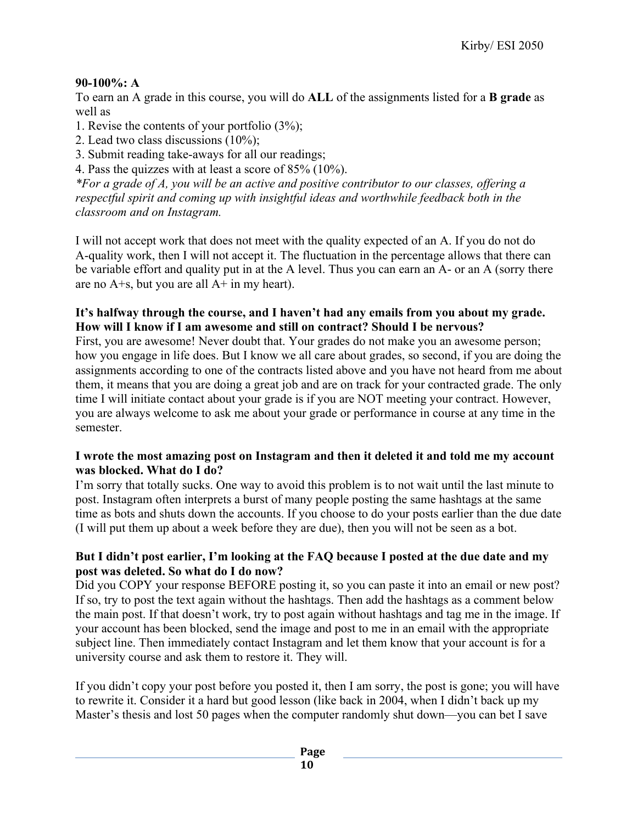# **90-100%: A**

To earn an A grade in this course, you will do **ALL** of the assignments listed for a **B grade** as well as

1. Revise the contents of your portfolio (3%);

- 2. Lead two class discussions (10%);
- 3. Submit reading take-aways for all our readings;

4. Pass the quizzes with at least a score of 85% (10%).

*\*For a grade of A, you will be an active and positive contributor to our classes, offering a respectful spirit and coming up with insightful ideas and worthwhile feedback both in the classroom and on Instagram.*

I will not accept work that does not meet with the quality expected of an A. If you do not do A-quality work, then I will not accept it. The fluctuation in the percentage allows that there can be variable effort and quality put in at the A level. Thus you can earn an A- or an A (sorry there are no  $A + s$ , but you are all  $A + in$  my heart).

# **It's halfway through the course, and I haven't had any emails from you about my grade. How will I know if I am awesome and still on contract? Should I be nervous?**

First, you are awesome! Never doubt that. Your grades do not make you an awesome person; how you engage in life does. But I know we all care about grades, so second, if you are doing the assignments according to one of the contracts listed above and you have not heard from me about them, it means that you are doing a great job and are on track for your contracted grade. The only time I will initiate contact about your grade is if you are NOT meeting your contract. However, you are always welcome to ask me about your grade or performance in course at any time in the semester.

# **I wrote the most amazing post on Instagram and then it deleted it and told me my account was blocked. What do I do?**

I'm sorry that totally sucks. One way to avoid this problem is to not wait until the last minute to post. Instagram often interprets a burst of many people posting the same hashtags at the same time as bots and shuts down the accounts. If you choose to do your posts earlier than the due date (I will put them up about a week before they are due), then you will not be seen as a bot.

# **But I didn't post earlier, I'm looking at the FAQ because I posted at the due date and my post was deleted. So what do I do now?**

Did you COPY your response BEFORE posting it, so you can paste it into an email or new post? If so, try to post the text again without the hashtags. Then add the hashtags as a comment below the main post. If that doesn't work, try to post again without hashtags and tag me in the image. If your account has been blocked, send the image and post to me in an email with the appropriate subject line. Then immediately contact Instagram and let them know that your account is for a university course and ask them to restore it. They will.

If you didn't copy your post before you posted it, then I am sorry, the post is gone; you will have to rewrite it. Consider it a hard but good lesson (like back in 2004, when I didn't back up my Master's thesis and lost 50 pages when the computer randomly shut down—you can bet I save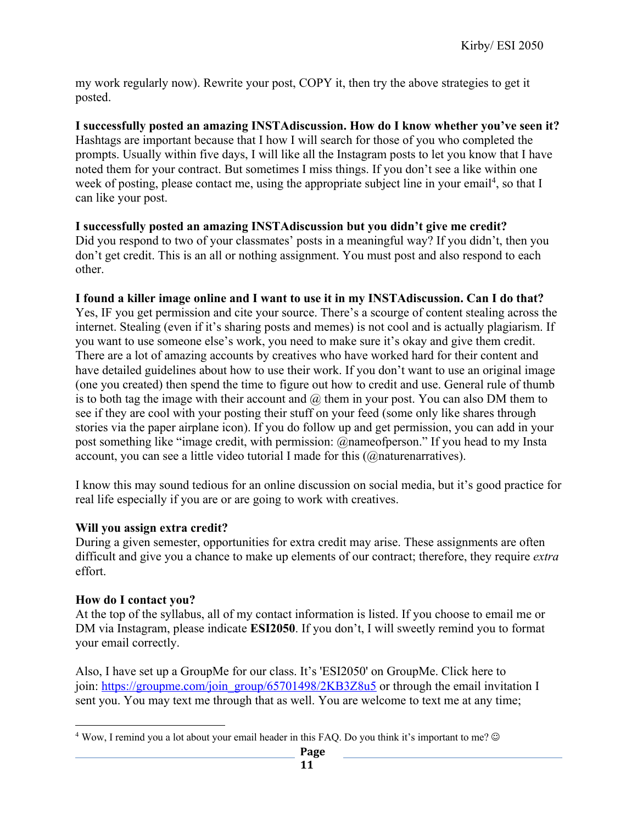my work regularly now). Rewrite your post, COPY it, then try the above strategies to get it posted.

**I successfully posted an amazing INSTAdiscussion. How do I know whether you've seen it?** Hashtags are important because that I how I will search for those of you who completed the prompts. Usually within five days, I will like all the Instagram posts to let you know that I have noted them for your contract. But sometimes I miss things. If you don't see a like within one week of posting, please contact me, using the appropriate subject line in your email<sup>4</sup>, so that I can like your post.

### **I successfully posted an amazing INSTAdiscussion but you didn't give me credit?**

Did you respond to two of your classmates' posts in a meaningful way? If you didn't, then you don't get credit. This is an all or nothing assignment. You must post and also respond to each other.

### **I found a killer image online and I want to use it in my INSTAdiscussion. Can I do that?**

Yes, IF you get permission and cite your source. There's a scourge of content stealing across the internet. Stealing (even if it's sharing posts and memes) is not cool and is actually plagiarism. If you want to use someone else's work, you need to make sure it's okay and give them credit. There are a lot of amazing accounts by creatives who have worked hard for their content and have detailed guidelines about how to use their work. If you don't want to use an original image (one you created) then spend the time to figure out how to credit and use. General rule of thumb is to both tag the image with their account and  $\omega$  them in your post. You can also DM them to see if they are cool with your posting their stuff on your feed (some only like shares through stories via the paper airplane icon). If you do follow up and get permission, you can add in your post something like "image credit, with permission: @nameofperson." If you head to my Insta account, you can see a little video tutorial I made for this (@naturenarratives).

I know this may sound tedious for an online discussion on social media, but it's good practice for real life especially if you are or are going to work with creatives.

### **Will you assign extra credit?**

During a given semester, opportunities for extra credit may arise. These assignments are often difficult and give you a chance to make up elements of our contract; therefore, they require *extra*  effort.

### **How do I contact you?**

At the top of the syllabus, all of my contact information is listed. If you choose to email me or DM via Instagram, please indicate **ESI2050**. If you don't, I will sweetly remind you to format your email correctly.

Also, I have set up a GroupMe for our class. It's 'ESI2050' on GroupMe. Click here to join: https://groupme.com/join\_group/65701498/2KB3Z8u5 or through the email invitation I sent you. You may text me through that as well. You are welcome to text me at any time;

 $4$  Wow, I remind you a lot about your email header in this FAQ. Do you think it's important to me?  $\circledcirc$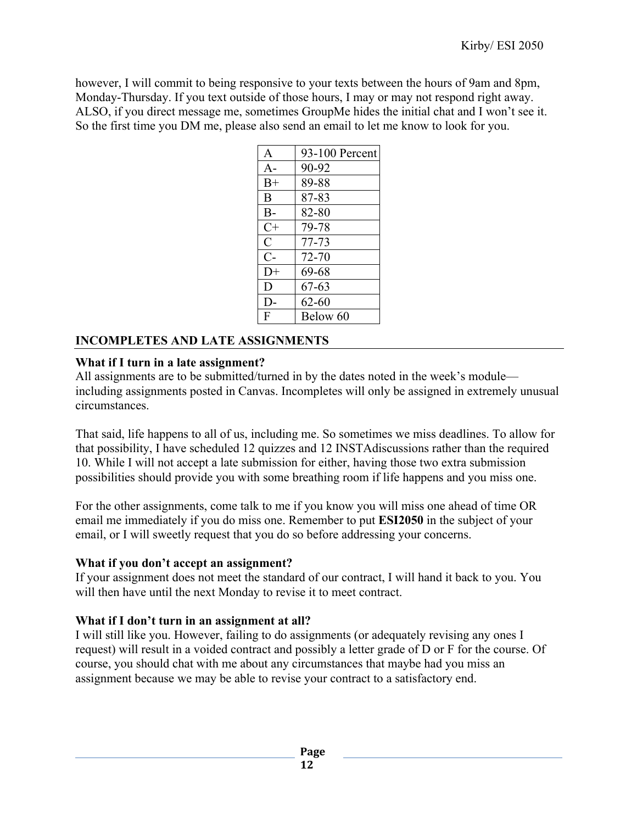however, I will commit to being responsive to your texts between the hours of 9am and 8pm, Monday-Thursday. If you text outside of those hours, I may or may not respond right away. ALSO, if you direct message me, sometimes GroupMe hides the initial chat and I won't see it. So the first time you DM me, please also send an email to let me know to look for you.

| $\mathbf{A}$ | 93-100 Percent |
|--------------|----------------|
| $A -$        | 90-92          |
| $B+$         | 89-88          |
| B            | 87-83          |
| $B-$         | 82-80          |
| $C+$         | 79-78          |
| $\mathsf{C}$ | $77 - 73$      |
| $C-$         | 72-70          |
| $D+$         | 69-68          |
| D            | 67-63          |
| D-           | $62 - 60$      |
| F            | Below 60       |

# **INCOMPLETES AND LATE ASSIGNMENTS**

# **What if I turn in a late assignment?**

All assignments are to be submitted/turned in by the dates noted in the week's module including assignments posted in Canvas. Incompletes will only be assigned in extremely unusual circumstances.

That said, life happens to all of us, including me. So sometimes we miss deadlines. To allow for that possibility, I have scheduled 12 quizzes and 12 INSTAdiscussions rather than the required 10. While I will not accept a late submission for either, having those two extra submission possibilities should provide you with some breathing room if life happens and you miss one.

For the other assignments, come talk to me if you know you will miss one ahead of time OR email me immediately if you do miss one. Remember to put **ESI2050** in the subject of your email, or I will sweetly request that you do so before addressing your concerns.

# **What if you don't accept an assignment?**

If your assignment does not meet the standard of our contract, I will hand it back to you. You will then have until the next Monday to revise it to meet contract.

# **What if I don't turn in an assignment at all?**

I will still like you. However, failing to do assignments (or adequately revising any ones I request) will result in a voided contract and possibly a letter grade of D or F for the course. Of course, you should chat with me about any circumstances that maybe had you miss an assignment because we may be able to revise your contract to a satisfactory end.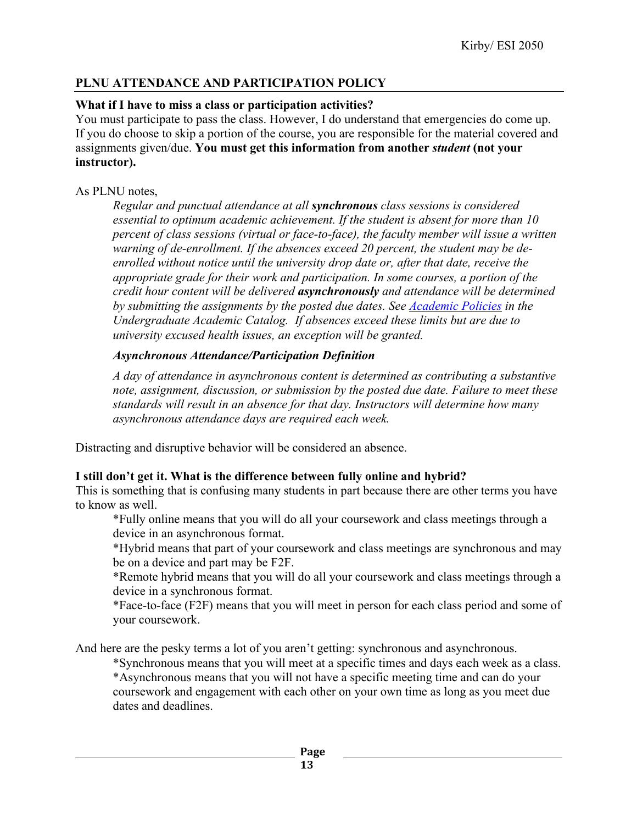# **PLNU ATTENDANCE AND PARTICIPATION POLICY**

# **What if I have to miss a class or participation activities?**

You must participate to pass the class. However, I do understand that emergencies do come up. If you do choose to skip a portion of the course, you are responsible for the material covered and assignments given/due. **You must get this information from another** *student* **(not your instructor).** 

# As PLNU notes,

*Regular and punctual attendance at all synchronous class sessions is considered essential to optimum academic achievement. If the student is absent for more than 10 percent of class sessions (virtual or face-to-face), the faculty member will issue a written warning of de-enrollment. If the absences exceed 20 percent, the student may be deenrolled without notice until the university drop date or, after that date, receive the appropriate grade for their work and participation. In some courses, a portion of the credit hour content will be delivered asynchronously and attendance will be determined by submitting the assignments by the posted due dates. See Academic Policies in the Undergraduate Academic Catalog. If absences exceed these limits but are due to university excused health issues, an exception will be granted.*

# *Asynchronous Attendance/Participation Definition*

*A day of attendance in asynchronous content is determined as contributing a substantive note, assignment, discussion, or submission by the posted due date. Failure to meet these standards will result in an absence for that day. Instructors will determine how many asynchronous attendance days are required each week.*

Distracting and disruptive behavior will be considered an absence.

# **I still don't get it. What is the difference between fully online and hybrid?**

This is something that is confusing many students in part because there are other terms you have to know as well.

\*Fully online means that you will do all your coursework and class meetings through a device in an asynchronous format.

\*Hybrid means that part of your coursework and class meetings are synchronous and may be on a device and part may be F2F.

\*Remote hybrid means that you will do all your coursework and class meetings through a device in a synchronous format.

\*Face-to-face (F2F) means that you will meet in person for each class period and some of your coursework.

And here are the pesky terms a lot of you aren't getting: synchronous and asynchronous.

\*Synchronous means that you will meet at a specific times and days each week as a class. \*Asynchronous means that you will not have a specific meeting time and can do your coursework and engagement with each other on your own time as long as you meet due dates and deadlines.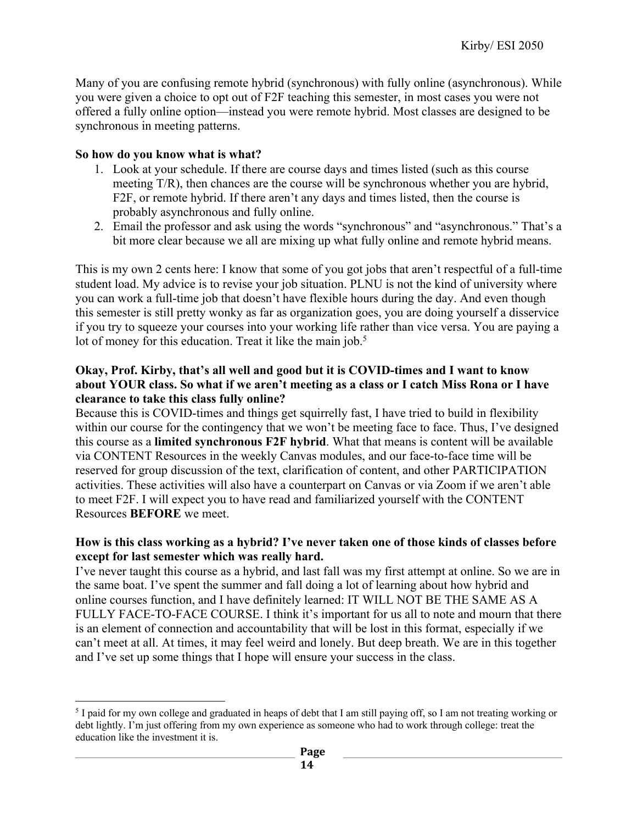Many of you are confusing remote hybrid (synchronous) with fully online (asynchronous). While you were given a choice to opt out of F2F teaching this semester, in most cases you were not offered a fully online option—instead you were remote hybrid. Most classes are designed to be synchronous in meeting patterns.

### **So how do you know what is what?**

- 1. Look at your schedule. If there are course days and times listed (such as this course meeting T/R), then chances are the course will be synchronous whether you are hybrid, F2F, or remote hybrid. If there aren't any days and times listed, then the course is probably asynchronous and fully online.
- 2. Email the professor and ask using the words "synchronous" and "asynchronous." That's a bit more clear because we all are mixing up what fully online and remote hybrid means.

This is my own 2 cents here: I know that some of you got jobs that aren't respectful of a full-time student load. My advice is to revise your job situation. PLNU is not the kind of university where you can work a full-time job that doesn't have flexible hours during the day. And even though this semester is still pretty wonky as far as organization goes, you are doing yourself a disservice if you try to squeeze your courses into your working life rather than vice versa. You are paying a lot of money for this education. Treat it like the main job.<sup>5</sup>

# **Okay, Prof. Kirby, that's all well and good but it is COVID-times and I want to know about YOUR class. So what if we aren't meeting as a class or I catch Miss Rona or I have clearance to take this class fully online?**

Because this is COVID-times and things get squirrelly fast, I have tried to build in flexibility within our course for the contingency that we won't be meeting face to face. Thus, I've designed this course as a **limited synchronous F2F hybrid**. What that means is content will be available via CONTENT Resources in the weekly Canvas modules, and our face-to-face time will be reserved for group discussion of the text, clarification of content, and other PARTICIPATION activities. These activities will also have a counterpart on Canvas or via Zoom if we aren't able to meet F2F. I will expect you to have read and familiarized yourself with the CONTENT Resources **BEFORE** we meet.

# **How is this class working as a hybrid? I've never taken one of those kinds of classes before except for last semester which was really hard.**

I've never taught this course as a hybrid, and last fall was my first attempt at online. So we are in the same boat. I've spent the summer and fall doing a lot of learning about how hybrid and online courses function, and I have definitely learned: IT WILL NOT BE THE SAME AS A FULLY FACE-TO-FACE COURSE. I think it's important for us all to note and mourn that there is an element of connection and accountability that will be lost in this format, especially if we can't meet at all. At times, it may feel weird and lonely. But deep breath. We are in this together and I've set up some things that I hope will ensure your success in the class.

<sup>5</sup> I paid for my own college and graduated in heaps of debt that I am still paying off, so I am not treating working or debt lightly. I'm just offering from my own experience as someone who had to work through college: treat the education like the investment it is.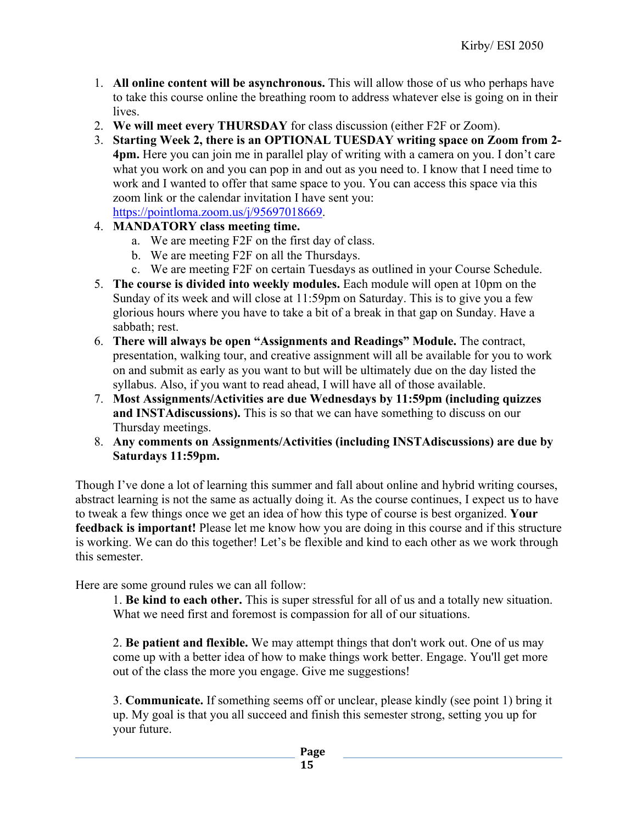- 1. **All online content will be asynchronous.** This will allow those of us who perhaps have to take this course online the breathing room to address whatever else is going on in their lives.
- 2. **We will meet every THURSDAY** for class discussion (either F2F or Zoom).
- 3. **Starting Week 2, there is an OPTIONAL TUESDAY writing space on Zoom from 2- 4pm.** Here you can join me in parallel play of writing with a camera on you. I don't care what you work on and you can pop in and out as you need to. I know that I need time to work and I wanted to offer that same space to you. You can access this space via this zoom link or the calendar invitation I have sent you: https://pointloma.zoom.us/j/95697018669.
- 4. **MANDATORY class meeting time.** 
	- a. We are meeting F2F on the first day of class.
	- b. We are meeting F2F on all the Thursdays.
	- c. We are meeting F2F on certain Tuesdays as outlined in your Course Schedule.
- 5. **The course is divided into weekly modules.** Each module will open at 10pm on the Sunday of its week and will close at 11:59pm on Saturday. This is to give you a few glorious hours where you have to take a bit of a break in that gap on Sunday. Have a sabbath; rest.
- 6. **There will always be open "Assignments and Readings" Module.** The contract, presentation, walking tour, and creative assignment will all be available for you to work on and submit as early as you want to but will be ultimately due on the day listed the syllabus. Also, if you want to read ahead, I will have all of those available.
- 7. **Most Assignments/Activities are due Wednesdays by 11:59pm (including quizzes and INSTAdiscussions).** This is so that we can have something to discuss on our Thursday meetings.
- 8. **Any comments on Assignments/Activities (including INSTAdiscussions) are due by Saturdays 11:59pm.**

Though I've done a lot of learning this summer and fall about online and hybrid writing courses, abstract learning is not the same as actually doing it. As the course continues, I expect us to have to tweak a few things once we get an idea of how this type of course is best organized. **Your feedback is important!** Please let me know how you are doing in this course and if this structure is working. We can do this together! Let's be flexible and kind to each other as we work through this semester.

Here are some ground rules we can all follow:

1. **Be kind to each other.** This is super stressful for all of us and a totally new situation. What we need first and foremost is compassion for all of our situations.

2. **Be patient and flexible.** We may attempt things that don't work out. One of us may come up with a better idea of how to make things work better. Engage. You'll get more out of the class the more you engage. Give me suggestions!

3. **Communicate.** If something seems off or unclear, please kindly (see point 1) bring it up. My goal is that you all succeed and finish this semester strong, setting you up for your future.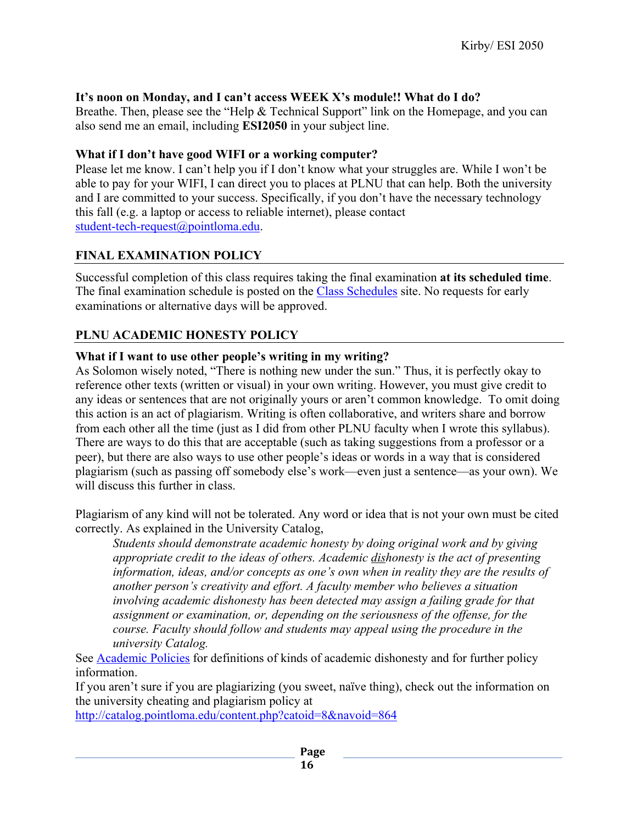# **It's noon on Monday, and I can't access WEEK X's module!! What do I do?**

Breathe. Then, please see the "Help & Technical Support" link on the Homepage, and you can also send me an email, including **ESI2050** in your subject line.

# **What if I don't have good WIFI or a working computer?**

Please let me know. I can't help you if I don't know what your struggles are. While I won't be able to pay for your WIFI, I can direct you to places at PLNU that can help. Both the university and I are committed to your success. Specifically, if you don't have the necessary technology this fall (e.g. a laptop or access to reliable internet), please contact student-tech-request@pointloma.edu.

# **FINAL EXAMINATION POLICY**

Successful completion of this class requires taking the final examination **at its scheduled time**. The final examination schedule is posted on the Class Schedules site. No requests for early examinations or alternative days will be approved.

# **PLNU ACADEMIC HONESTY POLICY**

# **What if I want to use other people's writing in my writing?**

As Solomon wisely noted, "There is nothing new under the sun." Thus, it is perfectly okay to reference other texts (written or visual) in your own writing. However, you must give credit to any ideas or sentences that are not originally yours or aren't common knowledge. To omit doing this action is an act of plagiarism. Writing is often collaborative, and writers share and borrow from each other all the time (just as I did from other PLNU faculty when I wrote this syllabus). There are ways to do this that are acceptable (such as taking suggestions from a professor or a peer), but there are also ways to use other people's ideas or words in a way that is considered plagiarism (such as passing off somebody else's work—even just a sentence—as your own). We will discuss this further in class.

Plagiarism of any kind will not be tolerated. Any word or idea that is not your own must be cited correctly. As explained in the University Catalog,

*Students should demonstrate academic honesty by doing original work and by giving appropriate credit to the ideas of others. Academic dishonesty is the act of presenting information, ideas, and/or concepts as one's own when in reality they are the results of another person's creativity and effort. A faculty member who believes a situation involving academic dishonesty has been detected may assign a failing grade for that assignment or examination, or, depending on the seriousness of the offense, for the course. Faculty should follow and students may appeal using the procedure in the university Catalog.*

See Academic Policies for definitions of kinds of academic dishonesty and for further policy information.

If you aren't sure if you are plagiarizing (you sweet, naïve thing), check out the information on the university cheating and plagiarism policy at

http://catalog.pointloma.edu/content.php?catoid=8&navoid=864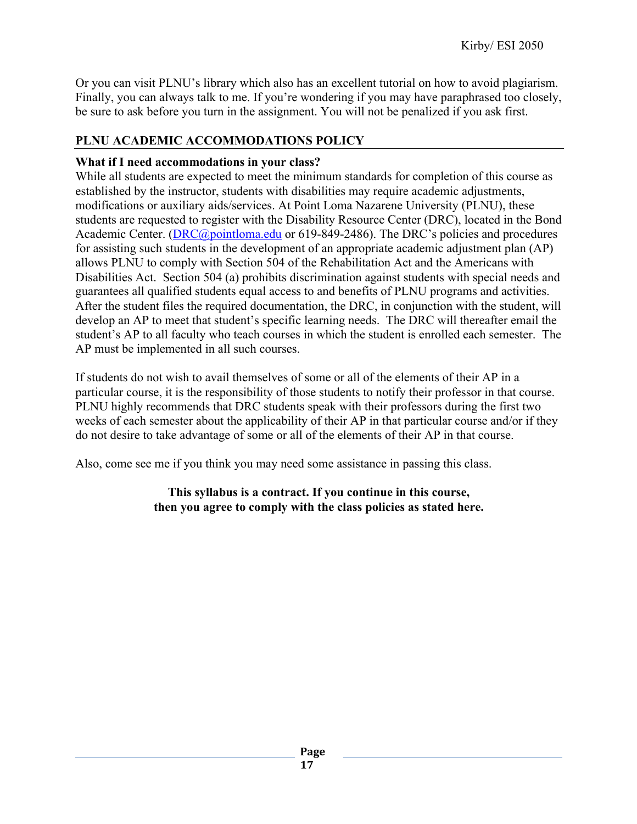Or you can visit PLNU's library which also has an excellent tutorial on how to avoid plagiarism. Finally, you can always talk to me. If you're wondering if you may have paraphrased too closely, be sure to ask before you turn in the assignment. You will not be penalized if you ask first.

# **PLNU ACADEMIC ACCOMMODATIONS POLICY**

# **What if I need accommodations in your class?**

While all students are expected to meet the minimum standards for completion of this course as established by the instructor, students with disabilities may require academic adjustments, modifications or auxiliary aids/services. At Point Loma Nazarene University (PLNU), these students are requested to register with the Disability Resource Center (DRC), located in the Bond Academic Center. (DRC@pointloma.edu or 619-849-2486). The DRC's policies and procedures for assisting such students in the development of an appropriate academic adjustment plan (AP) allows PLNU to comply with Section 504 of the Rehabilitation Act and the Americans with Disabilities Act. Section 504 (a) prohibits discrimination against students with special needs and guarantees all qualified students equal access to and benefits of PLNU programs and activities. After the student files the required documentation, the DRC, in conjunction with the student, will develop an AP to meet that student's specific learning needs. The DRC will thereafter email the student's AP to all faculty who teach courses in which the student is enrolled each semester. The AP must be implemented in all such courses.

If students do not wish to avail themselves of some or all of the elements of their AP in a particular course, it is the responsibility of those students to notify their professor in that course. PLNU highly recommends that DRC students speak with their professors during the first two weeks of each semester about the applicability of their AP in that particular course and/or if they do not desire to take advantage of some or all of the elements of their AP in that course.

Also, come see me if you think you may need some assistance in passing this class.

# **This syllabus is a contract. If you continue in this course, then you agree to comply with the class policies as stated here.**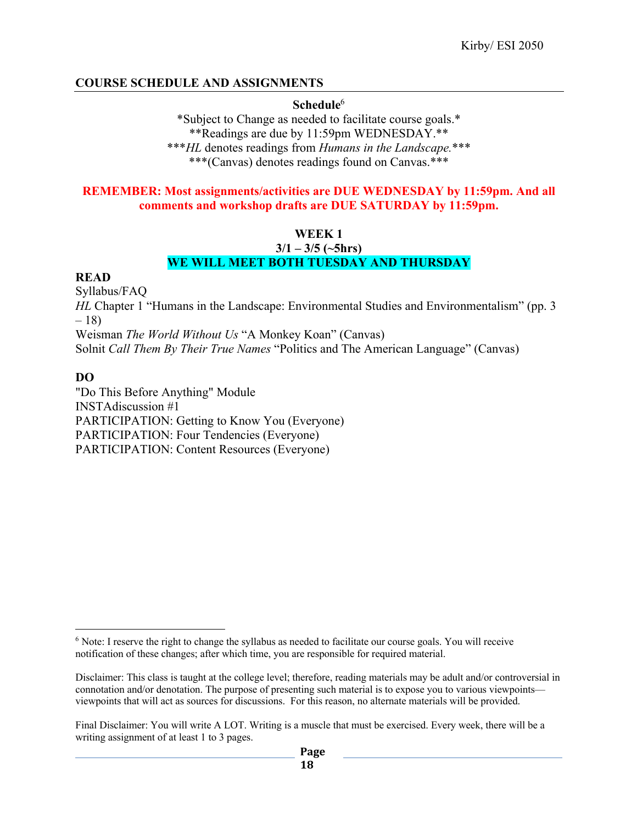# **COURSE SCHEDULE AND ASSIGNMENTS**

### **Schedule**<sup>6</sup>

\*Subject to Change as needed to facilitate course goals.\* \*\*Readings are due by 11:59pm WEDNESDAY.\*\* \*\*\**HL* denotes readings from *Humans in the Landscape.*\*\*\* \*\*\*(Canvas) denotes readings found on Canvas.\*\*\*

### **REMEMBER: Most assignments/activities are DUE WEDNESDAY by 11:59pm. And all comments and workshop drafts are DUE SATURDAY by 11:59pm.**

### **WEEK 1**

#### **3/1 – 3/5 (~5hrs) WE WILL MEET BOTH TUESDAY AND THURSDAY**

### **READ**

Syllabus/FAQ *HL* Chapter 1 "Humans in the Landscape: Environmental Studies and Environmentalism" (pp. 3) – 18) Weisman *The World Without Us* "A Monkey Koan" (Canvas) Solnit *Call Them By Their True Names* "Politics and The American Language" (Canvas)

# **DO**

"Do This Before Anything" Module INSTAdiscussion #1 PARTICIPATION: Getting to Know You (Everyone) PARTICIPATION: Four Tendencies (Everyone) PARTICIPATION: Content Resources (Everyone)

<sup>6</sup> Note: I reserve the right to change the syllabus as needed to facilitate our course goals. You will receive notification of these changes; after which time, you are responsible for required material.

Disclaimer: This class is taught at the college level; therefore, reading materials may be adult and/or controversial in connotation and/or denotation. The purpose of presenting such material is to expose you to various viewpoints viewpoints that will act as sources for discussions. For this reason, no alternate materials will be provided.

Final Disclaimer: You will write A LOT. Writing is a muscle that must be exercised. Every week, there will be a writing assignment of at least 1 to 3 pages.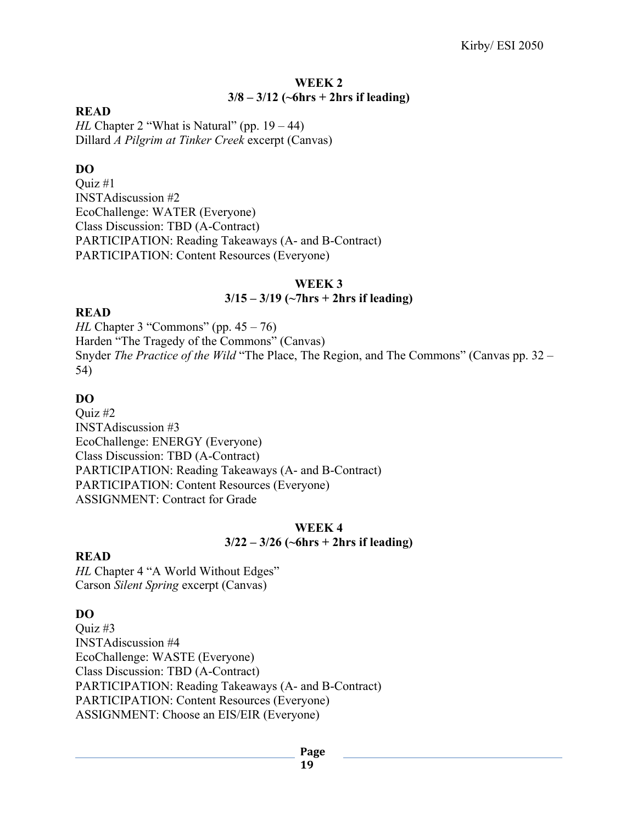### **WEEK 2 3/8 – 3/12 (~6hrs + 2hrs if leading)**

### **READ**

*HL* Chapter 2 "What is Natural" (pp. 19 – 44) Dillard *A Pilgrim at Tinker Creek* excerpt (Canvas)

### **DO**

Quiz #1 INSTAdiscussion #2 EcoChallenge: WATER (Everyone) Class Discussion: TBD (A-Contract) PARTICIPATION: Reading Takeaways (A- and B-Contract) PARTICIPATION: Content Resources (Everyone)

#### **WEEK 3**

### **3/15 – 3/19 (~7hrs + 2hrs if leading)**

#### **READ**

*HL* Chapter 3 "Commons" (pp. 45 – 76) Harden "The Tragedy of the Commons" (Canvas) Snyder *The Practice of the Wild* "The Place, The Region, and The Commons" (Canvas pp. 32 – 54)

### **DO**

Quiz #2 INSTAdiscussion #3 EcoChallenge: ENERGY (Everyone) Class Discussion: TBD (A-Contract) PARTICIPATION: Reading Takeaways (A- and B-Contract) PARTICIPATION: Content Resources (Everyone) ASSIGNMENT: Contract for Grade

### **WEEK 4 3/22 – 3/26 (~6hrs + 2hrs if leading)**

### **READ**

*HL* Chapter 4 "A World Without Edges" Carson *Silent Spring* excerpt (Canvas)

# **DO**

Quiz #3 INSTAdiscussion #4 EcoChallenge: WASTE (Everyone) Class Discussion: TBD (A-Contract) PARTICIPATION: Reading Takeaways (A- and B-Contract) PARTICIPATION: Content Resources (Everyone) ASSIGNMENT: Choose an EIS/EIR (Everyone)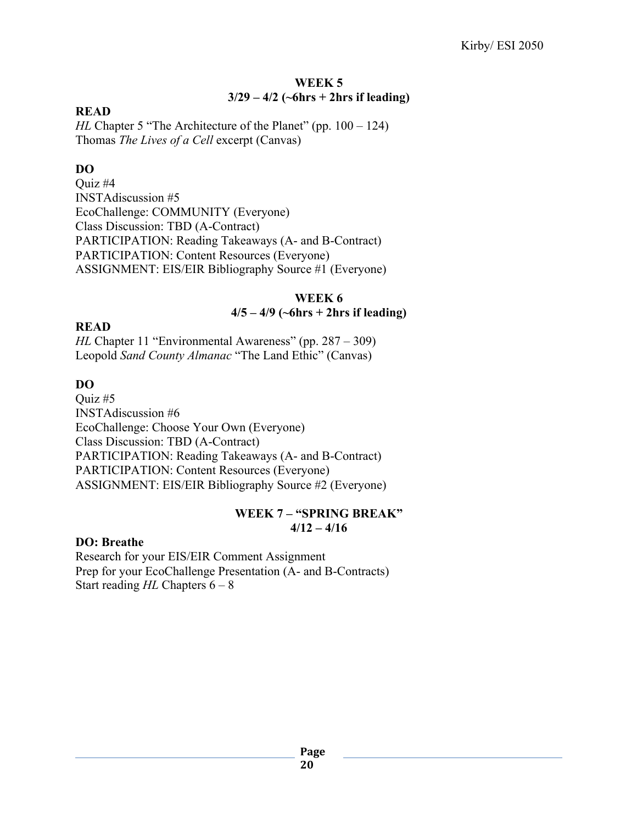# **WEEK 5 3/29 – 4/2 (~6hrs + 2hrs if leading)**

### **READ**

*HL* Chapter 5 "The Architecture of the Planet" (pp. 100 – 124) Thomas *The Lives of a Cell* excerpt (Canvas)

# **DO**

Quiz #4 INSTAdiscussion #5 EcoChallenge: COMMUNITY (Everyone) Class Discussion: TBD (A-Contract) PARTICIPATION: Reading Takeaways (A- and B-Contract) PARTICIPATION: Content Resources (Everyone) ASSIGNMENT: EIS/EIR Bibliography Source #1 (Everyone)

# **WEEK 6**

### **4/5 – 4/9 (~6hrs + 2hrs if leading)**

### **READ**

*HL* Chapter 11 "Environmental Awareness" (pp. 287 – 309) Leopold *Sand County Almanac* "The Land Ethic" (Canvas)

# **DO**

Quiz #5 INSTAdiscussion #6 EcoChallenge: Choose Your Own (Everyone) Class Discussion: TBD (A-Contract) PARTICIPATION: Reading Takeaways (A- and B-Contract) PARTICIPATION: Content Resources (Everyone) ASSIGNMENT: EIS/EIR Bibliography Source #2 (Everyone)

### **WEEK 7 – "SPRING BREAK" 4/12 – 4/16**

### **DO: Breathe**

Research for your EIS/EIR Comment Assignment Prep for your EcoChallenge Presentation (A- and B-Contracts) Start reading *HL* Chapters 6 – 8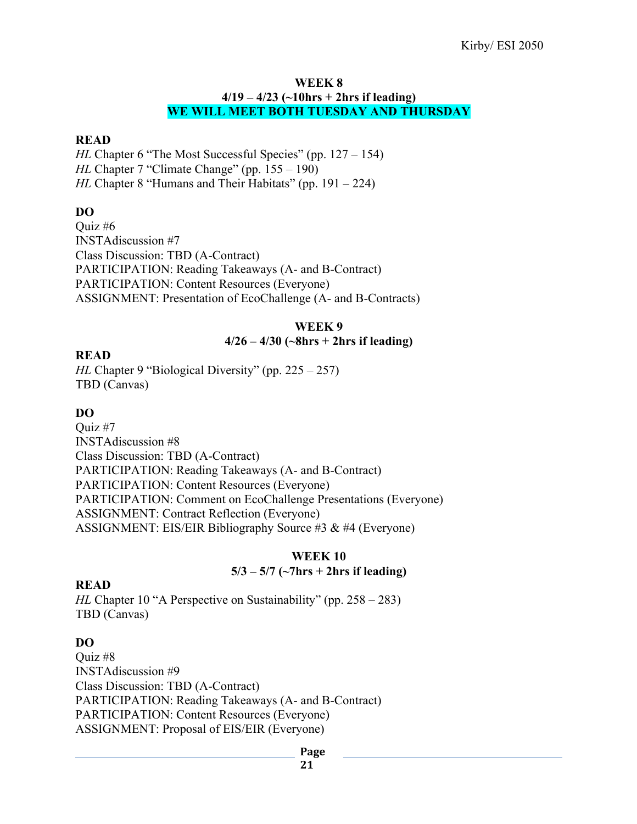#### **WEEK 8 4/19 – 4/23 (~10hrs + 2hrs if leading) WE WILL MEET BOTH TUESDAY AND THURSDAY**

# **READ**

*HL* Chapter 6 "The Most Successful Species" (pp. 127 – 154) *HL* Chapter 7 "Climate Change" (pp. 155 – 190) *HL* Chapter 8 "Humans and Their Habitats" (pp. 191 – 224)

# **DO**

Quiz #6 INSTAdiscussion #7 Class Discussion: TBD (A-Contract) PARTICIPATION: Reading Takeaways (A- and B-Contract) PARTICIPATION: Content Resources (Everyone) ASSIGNMENT: Presentation of EcoChallenge (A- and B-Contracts)

### **WEEK 9**

### **4/26 – 4/30 (~8hrs + 2hrs if leading)**

### **READ**

*HL* Chapter 9 "Biological Diversity" (pp. 225 – 257) TBD (Canvas)

# **DO**

Quiz #7 INSTAdiscussion #8 Class Discussion: TBD (A-Contract) PARTICIPATION: Reading Takeaways (A- and B-Contract) PARTICIPATION: Content Resources (Everyone) PARTICIPATION: Comment on EcoChallenge Presentations (Everyone) ASSIGNMENT: Contract Reflection (Everyone) ASSIGNMENT: EIS/EIR Bibliography Source #3 & #4 (Everyone)

# **WEEK 10 5/3 – 5/7 (~7hrs + 2hrs if leading)**

### **READ**

*HL* Chapter 10 "A Perspective on Sustainability" (pp. 258 – 283) TBD (Canvas)

# **DO**

Quiz #8 INSTAdiscussion #9 Class Discussion: TBD (A-Contract) PARTICIPATION: Reading Takeaways (A- and B-Contract) PARTICIPATION: Content Resources (Everyone) ASSIGNMENT: Proposal of EIS/EIR (Everyone)

#### **Page**

**21**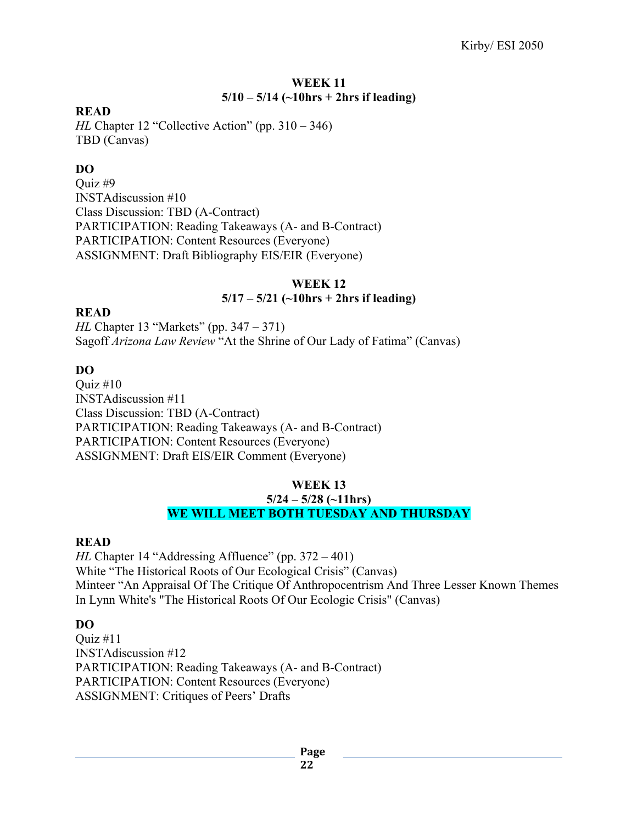# **WEEK 11 5/10 – 5/14 (~10hrs + 2hrs if leading)**

### **READ**

*HL* Chapter 12 "Collective Action" (pp. 310 – 346) TBD (Canvas)

# **DO**

Quiz #9 INSTAdiscussion #10 Class Discussion: TBD (A-Contract) PARTICIPATION: Reading Takeaways (A- and B-Contract) PARTICIPATION: Content Resources (Everyone) ASSIGNMENT: Draft Bibliography EIS/EIR (Everyone)

### **WEEK 12**

# **5/17 – 5/21 (~10hrs + 2hrs if leading)**

### **READ**

*HL* Chapter 13 "Markets" (pp. 347 – 371) Sagoff *Arizona Law Review* "At the Shrine of Our Lady of Fatima" (Canvas)

# **DO**

Quiz #10 INSTAdiscussion #11 Class Discussion: TBD (A-Contract) PARTICIPATION: Reading Takeaways (A- and B-Contract) PARTICIPATION: Content Resources (Everyone) ASSIGNMENT: Draft EIS/EIR Comment (Everyone)

### **WEEK 13**

#### **5/24 – 5/28 (~11hrs) WE WILL MEET BOTH TUESDAY AND THURSDAY**

### **READ**

*HL* Chapter 14 "Addressing Affluence" (pp. 372 – 401) White "The Historical Roots of Our Ecological Crisis" (Canvas) Minteer "An Appraisal Of The Critique Of Anthropocentrism And Three Lesser Known Themes In Lynn White's "The Historical Roots Of Our Ecologic Crisis" (Canvas)

# **DO**

Ouiz  $\#11$ INSTAdiscussion #12 PARTICIPATION: Reading Takeaways (A- and B-Contract) PARTICIPATION: Content Resources (Everyone) ASSIGNMENT: Critiques of Peers' Drafts